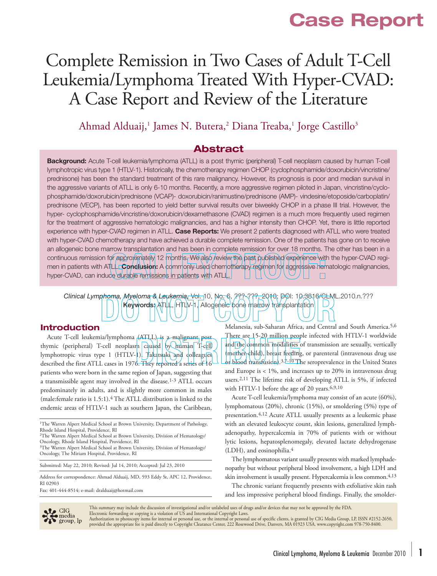## **Case Report**

# Complete Remission in Two Cases of Adult T-Cell Leukemia/Lymphoma Treated With Hyper-CVAD: A Case Report and Review of the Literature

### Ahmad Alduaij,<sup>1</sup> James N. Butera,<sup>2</sup> Diana Treaba,<sup>1</sup> Jorge Castillo<sup>3</sup>

### **Abstract**

**Background:** Acute T-cell leukemia/lymphoma (ATLL) is a post thymic (peripheral) T-cell neoplasm caused by human T-cell lymphotropic virus type 1 (HTLV-1). Historically, the chemotherapy regimen CHOP (cyclophosphamide/doxorubicin/vincristine/ prednisone) has been the standard treatment of this rare malignancy. However, its prognosis is poor and median survival in the aggressive variants of ATLL is only 6-10 months. Recently, a more aggressive regimen piloted in Japan, vincristine/cyclophosphamide/doxorubicin/prednisone (VCAP)- doxorubicin/ranimustine/prednisone (AMP)- vindesine/etoposide/carboplatin/ prednisone (VECP), has been reported to yield better survival results over biweekly CHOP in a phase III trial. However, the hyper- cyclophosphamide/vincristine/doxorubicin/dexamethasone (CVAD) regimen is a much more frequently used regimen for the treatment of aggressive hematologic malignancies, and has a higher intensity then CHOP. Yet, there is little reported experience with hyper-CVAD regimen in ATLL. **Case Reports:** We present 2 patients diagnosed with ATLL who were treated with hyper-CVAD chemotherapy and have achieved a durable complete remission. One of the patients has gone on to receive an allogeneic bone marrow transplantation and has been in complete remission for over 18 months. The other has been in a continuous remission for approximately 12 months. We also review the past published experience with the hyper-CVAD regimen in patients with ATLL. **Conclusion:** A commonly used chemotherapy regimen for aggressive hematologic malignancies, hyper-CVAD, can induce durable remissions in patients with ATLL.  $\Box$ 

## *Clinical Lymphoma, Myeloma & Leukemia,* Vol. 10, No. 6, ???-???, 2010; DOI: 10.3816/CLML.2010.n.??? Keywords: ATLL, HTLV-1, Allogeneic bone marrow transplantation

#### **Introduction**

Acute T-cell leukemia/lymphoma (ATLL) is a malignant post thymic (peripheral) T-cell neoplasm caused by human T-cell lymphotropic virus type 1 (HTLV-1). Takatsuki and colleagues described the first ATLL cases in 1976. They reported a series of 16 patients who were born in the same region of Japan, suggesting that a transmissible agent may involved in the disease.1-3 ATLL occurs predominately in adults, and is slightly more common in males (male:female ratio is 1.5:1).4 The ATLL distribution is linked to the endemic areas of HTLV-1 such as southern Japan, the Caribbean,

<sup>1</sup>The Warren Alpert Medical School at Brown University, Department of Pathology, Rhode Island Hospital, Providence, RI

2The Warren Alpert Medical School at Brown University, Division of Hematology/ Oncology, Rhode Island Hospital, Providence, RI

<sup>3</sup>The Warren Alpert Medical School at Brown University, Division of Hematology/ Oncology, The Miriam Hospital, Providence, RI

Submitted: May 22, 2010; Revised: Jul 14, 2010; Accepted: Jul 23, 2010

Address for correspondence: Ahmad Alduaij, MD, 593 Eddy St, APC 12, Providence, RI 02903

Fax: 401-444-8514; e-mail: dralduaij@hotmail.com

Melanesia, sub-Saharan Africa, and Central and South America.5,6 There are 15-20 million people infected with HTLV-1 worldwide and the common modalities of transmission are sexually, vertically (mother-child), breast feeding, or parenteral (intravenous drug use or blood transfusion).<sup>3,7-10</sup> The seroprevalence in the United States and Europe is < 1%, and increases up to 20% in intravenous drug users.2,11 The lifetime risk of developing ATLL is 5%, if infected with HTLV-1 before the age of 20 years.6,9,10

Acute T-cell leukemia/lymphoma may consist of an acute (60%), lymphomatous (20%), chronic (15%), or smoldering (5%) type of presentation.4,12 Acute ATLL usually presents as a leukemic phase with an elevated leukocyte count, skin lesions, generalized lymphadenopathy, hypercalcemia in 70% of patients with or without lytic lesions, hepatosplenomegaly, elevated lactate dehydrogenase (LDH), and eosinophilia.4

The lymphomatous variant usually presents with marked lymphadenopathy but without peripheral blood involvement, a high LDH and skin involvement is usually present. Hypercalcemia is less common.<sup>4,13</sup>

The chronic variant frequently presents with exfoliative skin rash and less impressive peripheral blood findings. Finally, the smolder-



This summary may include the discussion of investigational and/or unlabeled uses of drugs and/or devices that may not be approved by the FDA.<br>Electronic forwarding or copying is a violation of US and International Copyrigh

Authorization to photocopy items for internal or personal use, or the internal or personal use of specific clients, is granted by CIG Media Group, LP, ISSN #2152-2650,<br>provided the appropriate fee is paid directly to Copyr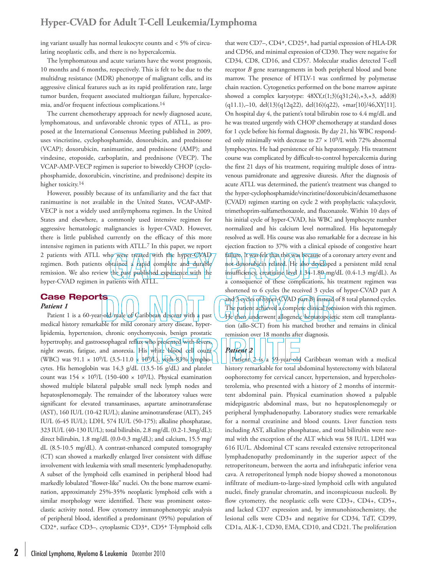ing variant usually has normal leukocyte counts and < 5% of circulating neoplastic cells, and there is no hypercalcemia.

The lymphomatous and acute variants have the worst prognosis, 10 months and 6 months, respectively. This is felt to be due to the multidrug resistance (MDR) phenotype of malignant cells, and its aggressive clinical features such as its rapid proliferation rate, large tumor burden, frequent associated multiorgan failure, hypercalcemia, and/or frequent infectious complications.14

The current chemotherapy approach for newly diagnosed acute, lymphomatous, and unfavorable chronic types of ATLL, as proposed at the International Consensus Meeting published in 2009, uses vincristine, cyclophosphamide, doxorubicin, and prednisone (VCAP); doxorubicin, ranimustine, and prednisone (AMP); and vindesine, etoposide, carboplatin, and prednisone (VECP). The VCAP-AMP-VECP regimen is superior to biweekly CHOP (cyclophosphamide, doxorubicin, vincristine, and prednisone) despite its higher toxicity.<sup>14</sup>

However, possibly because of its unfamiliarity and the fact that ranimustine is not available in the United States, VCAP-AMP-VECP is not a widely used antilymphoma regimen. In the United States and elsewhere, a commonly used intensive regimen for aggressive hematologic malignancies is hyper-CVAD. However, there is little published currently on the efficacy of this more intensive regimen in patients with ATLL.7 In this paper, we report 2 patients with ATLL who were treated with the hyper-CVAD regimen. Both patients obtained a rapid complete and durable remission. We also review the past published experience with the hyper-CVAD regimen in patients with ATLL.

### **Case Reports** *Patient 1*

Patient 1 is a 60-year-old/male of Caribbean descent with a past medical history remarkable for mild coronary artery disease, hyperlipidemia, hypertension, chronic onychomycosis, benign prostatic hypertrophy, and gastroesophageal reflux who presented with fevers, night sweats, fatigue, and anorexia. His white blood cell count (WBC) was  $91.1 \times 10^9$ /L (3.5-11.0  $\times 10^9$ /L), with 83% lymphocytes. His hemoglobin was 14.3 g/dL (13.5-16 g/dL) and platelet count was  $154 \times 10^9$ /L (150-400  $\times 10^9$ /L). Physical examination showed multiple bilateral palpable small neck lymph nodes and hepatosplenomegaly. The remainder of the laboratory values were significant for elevated transaminases, aspartate aminotransferase (AST), 160 IU/L (10-42 IU/L); alanine aminotransferase (ALT), 245 IU/L (6-45 IU/L); LDH, 574 IU/L (50-175); alkaline phosphatase, 323 IU/L (40-130 IU/L); total bilirubin, 2.8 mg/dL (0.2-1.3mg/dL); direct bilirubin, 1.8 mg/dL (0.0-0.3 mg/dL); and calcium, 15.5 mg/ dL (8.5-10.5 mg/dL). A contrast-enhanced computed tomography (CT) scan showed a markedly enlarged liver consistent with diffuse involvement with leukemia with small mesenteric lymphadenopathy. A subset of the lymphoid cells examined in peripheral blood had markedly lobulated "flower-like" nuclei. On the bone marrow examination, approximately 25%-35% neoplastic lymphoid cells with a similar morphology were identified. There was prominent osteoclastic activity noted. Flow cytometry immunophenotypic analysis of peripheral blood, identified a predominant (95%) population of CD2+, surface CD3–, cytoplasmic CD3+, CD5+ T-lymphoid cells

**2** <sup>|</sup> Clinical Lymphoma, Myeloma & Leukemia December 2010

that were CD7–, CD4+, CD25+, had partial expression of HLA-DR and CD56, and minimal expression of CD30. They were negative for CD34, CD8, CD16, and CD57. Molecular studies detected T-cell receptor *B* gene rearrangements in both peripheral blood and bone marrow. The presence of HTLV-1 was confirmed by polymerase chain reaction. Cytogenetics performed on the bone marrow aspirate showed a complex karyotype:  $48XY, t(1;3)(q31;24), +3, +3, add(8)$  $(q11.1)$ ,–10, del $(13)(q12q22)$ , del $(16)(q22)$ , +mar $[10]/46$ ,XY $[11]$ . On hospital day 4, the patient's total bilirubin rose to 4.4 mg/dL and he was treated urgently with CHOP chemotherapy at standard doses for 1 cycle before his formal diagnosis. By day 21, his WBC responded only minimally with decrease to  $27 \times 10^9$ /L with 72% abnormal lymphocytes. He had persistence of his hepatomegaly. His treatment course was complicated by difficult-to-control hypercalcemia during the first 21 days of his treatment, requiring multiple doses of intravenous pamidronate and aggressive diuresis. After the diagnosis of acute ATLL was determined, the patient's treatment was changed to the hyper-cyclophosphamide/vincristine/doxorubicin/dexamethasone (CVAD) regimen starting on cycle 2 with prophylactic valacyclovir, trimethoprim-sulfamethoxazole, and fluconazole. Within 10 days of his initial cycle of hyper-CVAD, his WBC and lymphocyte number normalized and his calcium level normalized. His hepatomegaly resolved as well. His course was also remarkable for a decrease in his ejection fraction to 37% with a clinical episode of congestive heart failure. It was felt that this was because of a coronary artery event and not doxorubicin related. He also developed a persistent mild renal insufficiency, creatinine level  $1.34$ -1.80 mg/dL (0.4-1.3 mg/dL). As a consequence of these complications, his treatment regimen was shortened to 6 cycles (he received 3 cycles of hyper-CVAD part A and  $3$  cycles of hyper-CVAD part B) instead of 8 total planned cycles. The patient achieved a complete clinical remission with this regimen. He then underwent allogeneic hematopoietic stem cell transplantation (allo-SCT) from his matched brother and remains in clinical remission over 18 months after diagnosis.

*Patient 2* Patient  $2$ -is/a 59-year-old Caribbean woman with a medical history remarkable for total abdominal hysterectomy with bilateral oophorectomy for cervical cancer, hypertension, and hypercholesterolemia, who presented with a history of 2 months of intermittent abdominal pain. Physical examination showed a palpable midepigastric abdominal mass, but no hepatosplenomegaly or peripheral lymphadenopathy. Laboratory studies were remarkable for a normal creatinine and blood counts. Liver function tests including AST, alkaline phosphatase, and total bilirubin were normal with the exception of the ALT which was 58 IU/L. LDH was 616 IU/L. Abdominal CT scans revealed extensive retroperitoneal lymphadenopathy predominantly in the superior aspect of the retroperitoneum, between the aorta and infrahepatic inferior vena cava. A retroperitoneal lymph node biopsy showed a monotonous infiltrate of medium-to-large-sized lymphoid cells with angulated nuclei, finely granular chromatin, and inconspicuous nucleoli. By flow cytometry, the neoplastic cells were CD3+, CD4+, CD5+, and lacked CD7 expression and, by immunohistochemistry, the lesional cells were CD3+ and negative for CD34, TdT, CD99, CD1a, ALK-1, CD30, EMA, CD10, and CD21. The proliferation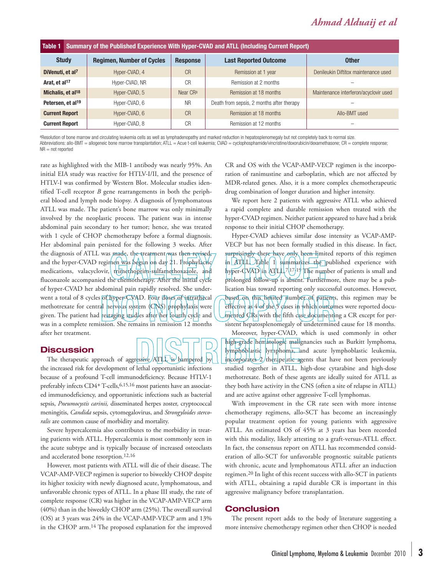### *Ahmad Alduaij et al*

| Table 1                       |  | Summary of the Published Experience With Hyper-CVAD and ATLL (Including Current Report) |                      |                                           |                                       |
|-------------------------------|--|-----------------------------------------------------------------------------------------|----------------------|-------------------------------------------|---------------------------------------|
| <b>Study</b>                  |  | <b>Regimen, Number of Cycles</b>                                                        | <b>Response</b>      | <b>Last Reported Outcome</b>              | <b>Other</b>                          |
| DiVenuti, et al <sup>7</sup>  |  | Hyper-CVAD, 4                                                                           | <b>CR</b>            | Remission at 1 year                       | Denileukin Diftitox maintenance used  |
| Arat, et al <sup>17</sup>     |  | Hyper-CVAD, NR                                                                          | C <sub>R</sub>       | Remission at 2 months                     |                                       |
| Michalis, et al <sup>18</sup> |  | Hyper-CVAD, 5                                                                           | Near CR <sup>a</sup> | Remission at 18 months                    | Maintenance interferon/acyclovir used |
| Petersen, et al <sup>19</sup> |  | Hyper-CVAD, 6                                                                           | <b>NR</b>            | Death from sepsis, 2 months after therapy |                                       |
| <b>Current Report</b>         |  | Hyper-CVAD, 6                                                                           | CR                   | Remission at 18 months                    | Allo-BMT used                         |
| <b>Current Report</b>         |  | Hyper-CVAD, 8                                                                           | CR                   | Remission at 12 months                    |                                       |

aResolution of bone marrow and circulating leukemia cells as well as lymphadenopathy and marked reduction in hepatosplenomegaly but not completely back to normal size. Abbreviations: allo-BMT = allogeneic bone marrow transplantation; ATLL = Acue t-cell leukemia; CVAD = cyclophosphamide/vincristine/doxorubicin/dexamethasone; CR = complete response;  $NR = not$  reported

rate as highlighted with the MIB-1 antibody was nearly 95%. An initial EIA study was reactive for HTLV-I/II, and the presence of HTLV-I was confirmed by Western Blot. Molecular studies identified T-cell receptor *B* gene rearrangements in both the peripheral blood and lymph node biopsy. A diagnosis of lymphomatous ATLL was made. The patient's bone marrow was only minimally involved by the neoplastic process. The patient was in intense abdominal pain secondary to her tumor; hence, she was treated with 1 cycle of CHOP chemotherapy before a formal diagnosis. Her abdominal pain persisted for the following 3 weeks. After the diagnosis of ATLL was made, the treatment was then revised and the hyper-CVAD regimen was begun on day 21. Prophylactic medications, valacyclovir, trimethoprim-sulfamethoxazole, and fluconazole accompanied the chemotherapy. After the initial cycle of hyper-CVAD her abdominal pain rapidly resolved. She underwent a total of 8 cycles of hyper-CVAD. Four doses of intrathecal methotrexate for central nervous system (CNS) prophylaxis were given. The patient had restaging studies after her fourth/cycle and was in a complete remission. She remains in remission 12 months after her treatment.

### **Discussion**

The therapeutic approach of aggressive ATLL is hampered by the increased risk for development of lethal opportunistic infections because of a profound T-cell immunodeficiency. Because HTLV-1 preferably infects CD4+ T-cells, 6,15,16 most patients have an associated immunodeficiency, and opportunistic infections such as bacterial sepsis, *Pneumocystis carinii,* disseminated herpes zoster, cryptococcal meningitis, *Candida* sepsis, cytomegalovirus, and *Strongyloides stercoralis* are common cause of morbidity and mortality.

Severe hypercalcemia also contributes to the morbidity in treating patients with ATLL. Hypercalcemia is most commonly seen in the acute subtype and is typically because of increased osteoclasts and accelerated bone resorption.12,16

However, most patients with ATLL will die of their disease. The VCAP-AMP-VECP regimen is superior to biweekly CHOP despite its higher toxicity with newly diagnosed acute, lymphomatous, and unfavorable chronic types of ATLL. In a phase III study, the rate of complete response (CR) was higher in the VCAP-AMP-VECP arm (40%) than in the biweekly CHOP arm (25%). The overall survival (OS) at 3 years was 24% in the VCAP-AMP-VECP arm and 13% in the CHOP arm.14 The proposed explanation for the improved

CR and OS with the VCAP-AMP-VECP regimen is the incorporation of ranimustine and carboplatin, which are not affected by MDR-related genes. Also, it is a more complex chemotherapeutic drug combination of longer duration and higher intensity.

We report here 2 patients with aggressive ATLL who achieved a rapid complete and durable remission when treated with the hyper-CVAD regimen. Neither patient appeared to have had a brisk response to their initial CHOP chemotherapy.

Hyper-CVAD achieves similar dose intensity as VCAP-AMP-VECP but has not been formally studied in this disease. In fact, surprisingly there have only been limited reports of this regimen in ATLL. Table 1 summarizes the published experience with hyper-CVAD in ATLL<sup>7</sup>,<sup>7</sup>,<sup>17</sup>/<sup>19</sup> The number of patients is small and prolonged follow-up is absent. Furthermore, there may be a publication bias toward reporting only successful outcomes. However, based on this limited number of patients, this regimen may be effective as  $4$  of the  $5'$  cases in which outcomes were reported docu- $\ell$ mented  $\zeta$ Rs with the fifth case documenting a CR except for persistent hepatosplenomegaly of undetermined cause for 18 months.

Moreover, hyper-CVAD, which is used commonly in other high-grade hematologic malignancies such as Burkitt lymphoma, lymphoblastic lymphoma, and acute lymphoblastic leukemia, incorporates 2/therapeutic agents that have not been previously studied together in ATLL, high-dose cytarabine and high-dose methotrexate. Both of these agents are ideally suited for ATLL as they both have activity in the CNS (often a site of relapse in ATLL) and are active against other aggressive T-cell lymphomas.

With improvement in the CR rate seen with more intense chemotherapy regimens, allo-SCT has become an increasingly popular treatment option for young patients with aggressive ATLL. An estimated OS of 45% at 3 years has been recorded with this modality, likely attesting to a graft-versus-ATLL effect. In fact, the consensus report on ATLL has recommended consideration of allo-SCT for unfavorable prognostic suitable patients with chronic, acute and lymphomatous ATLL after an induction regimen.20 In light of this recent success with allo-SCT in patients with ATLL, obtaining a rapid durable CR is important in this aggressive malignancy before transplantation.

#### **Conclusion**

The present report adds to the body of literature suggesting a more intensive chemotherapy regimen other then CHOP is needed